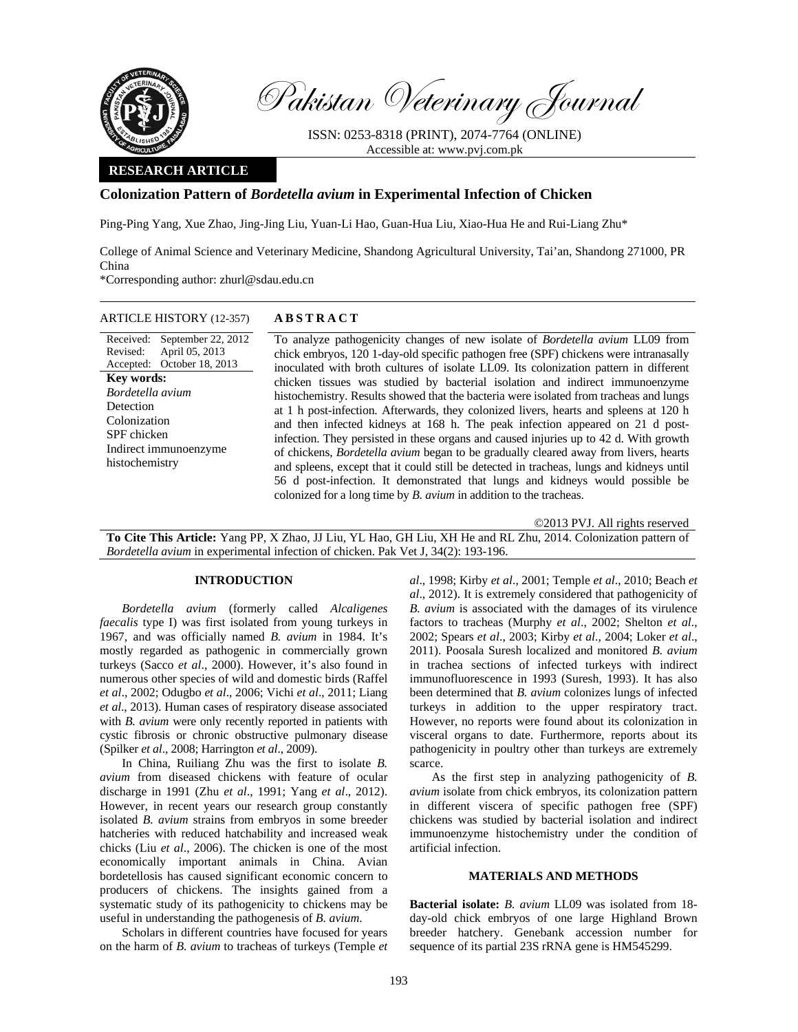

Pakistan Veterinary Journal

ISSN: 0253-8318 (PRINT), 2074-7764 (ONLINE) Accessible at: www.pvj.com.pk

### **RESEARCH ARTICLE**

# **Colonization Pattern of** *Bordetella avium* **in Experimental Infection of Chicken**

Ping-Ping Yang, Xue Zhao, Jing-Jing Liu, Yuan-Li Hao, Guan-Hua Liu, Xiao-Hua He and Rui-Liang Zhu\*

College of Animal Science and Veterinary Medicine, Shandong Agricultural University, Tai'an, Shandong 271000, PR China

\*Corresponding author: zhurl@sdau.edu.cn

### ARTICLE HISTORY (12-357) **ABSTRACT**

Received: September 22, 2012 Revised: Accepted: October 18, 2013 April 05, 2013 **Key words:**  *Bordetella avium* Detection Colonization SPF chicken Indirect immunoenzyme histochemistry

 To analyze pathogenicity changes of new isolate of *Bordetella avium* LL09 from chick embryos, 120 1-day-old specific pathogen free (SPF) chickens were intranasally inoculated with broth cultures of isolate LL09. Its colonization pattern in different chicken tissues was studied by bacterial isolation and indirect immunoenzyme histochemistry. Results showed that the bacteria were isolated from tracheas and lungs at 1 h post-infection. Afterwards, they colonized livers, hearts and spleens at 120 h and then infected kidneys at 168 h. The peak infection appeared on 21 d postinfection. They persisted in these organs and caused injuries up to 42 d. With growth of chickens, *Bordetella avium* began to be gradually cleared away from livers, hearts and spleens, except that it could still be detected in tracheas, lungs and kidneys until 56 d post-infection. It demonstrated that lungs and kidneys would possible be colonized for a long time by *B. avium* in addition to the tracheas.

©2013 PVJ. All rights reserved

**To Cite This Article:** Yang PP, X Zhao, JJ Liu, YL Hao, GH Liu, XH He and RL Zhu, 2014. Colonization pattern of *Bordetella avium* in experimental infection of chicken. Pak Vet J, 34(2): 193-196.

## **INTRODUCTION**

*Bordetella avium* (formerly called *Alcaligenes faecalis* type I) was first isolated from young turkeys in 1967, and was officially named *B. avium* in 1984. It's mostly regarded as pathogenic in commercially grown turkeys (Sacco *et al*., 2000). However, it's also found in numerous other species of wild and domestic birds (Raffel *et al*., 2002; Odugbo *et al*., 2006; Vichi *et al*., 2011; Liang *et al*., 2013). Human cases of respiratory disease associated with *B. avium* were only recently reported in patients with cystic fibrosis or chronic obstructive pulmonary disease (Spilker *et al*., 2008; Harrington *et al*., 2009).

In China, Ruiliang Zhu was the first to isolate *B. avium* from diseased chickens with feature of ocular discharge in 1991 (Zhu *et al*., 1991; Yang *et al*., 2012). However, in recent years our research group constantly isolated *B. avium* strains from embryos in some breeder hatcheries with reduced hatchability and increased weak chicks (Liu *et al*., 2006). The chicken is one of the most economically important animals in China. Avian bordetellosis has caused significant economic concern to producers of chickens. The insights gained from a systematic study of its pathogenicity to chickens may be useful in understanding the pathogenesis of *B. avium*.

Scholars in different countries have focused for years on the harm of *B. avium* to tracheas of turkeys (Temple *et*  *al*., 1998; Kirby *et al*., 2001; Temple *et al*., 2010; Beach *et al*., 2012). It is extremely considered that pathogenicity of *B. avium* is associated with the damages of its virulence factors to tracheas (Murphy *et al*., 2002; Shelton *et al*., 2002; Spears *et al*., 2003; Kirby *et al*., 2004; Loker *et al*., 2011). Poosala Suresh localized and monitored *B. avium* in trachea sections of infected turkeys with indirect immunofluorescence in 1993 (Suresh, 1993). It has also been determined that *B. avium* colonizes lungs of infected turkeys in addition to the upper respiratory tract. However, no reports were found about its colonization in visceral organs to date. Furthermore, reports about its pathogenicity in poultry other than turkeys are extremely scarce.

As the first step in analyzing pathogenicity of *B. avium* isolate from chick embryos, its colonization pattern in different viscera of specific pathogen free (SPF) chickens was studied by bacterial isolation and indirect immunoenzyme histochemistry under the condition of artificial infection.

#### **MATERIALS AND METHODS**

**Bacterial isolate:** *B. avium* LL09 was isolated from 18 day-old chick embryos of one large Highland Brown breeder hatchery. Genebank accession number for sequence of its partial 23S rRNA gene is HM545299.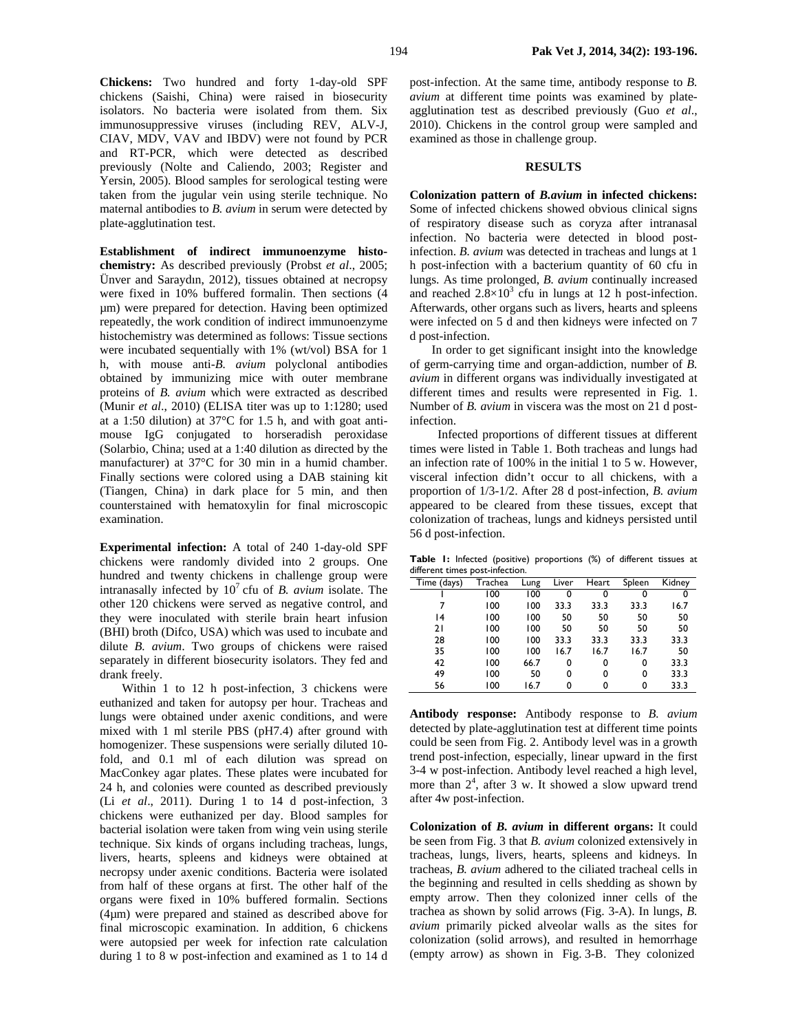**Chickens:** Two hundred and forty 1-day-old SPF chickens (Saishi, China) were raised in biosecurity isolators. No bacteria were isolated from them. Six immunosuppressive viruses (including REV, ALV-J, CIAV, MDV, VAV and IBDV) were not found by PCR and RT-PCR, which were detected as described previously (Nolte and Caliendo, 2003; Register and Yersin, 2005). Blood samples for serological testing were taken from the jugular vein using sterile technique. No maternal antibodies to *B. avium* in serum were detected by plate-agglutination test.

**Establishment of indirect immunoenzyme histochemistry:** As described previously (Probst *et al*., 2005; Ünver and Saraydın, 2012), tissues obtained at necropsy were fixed in 10% buffered formalin. Then sections (4 µm) were prepared for detection. Having been optimized repeatedly, the work condition of indirect immunoenzyme histochemistry was determined as follows: Tissue sections were incubated sequentially with 1% (wt/vol) BSA for 1 h, with mouse anti-*B. avium* polyclonal antibodies obtained by immunizing mice with outer membrane proteins of *B. avium* which were extracted as described (Munir *et al*., 2010) (ELISA titer was up to 1:1280; used at a 1:50 dilution) at 37°C for 1.5 h, and with goat antimouse IgG conjugated to horseradish peroxidase (Solarbio, China; used at a 1:40 dilution as directed by the manufacturer) at 37°C for 30 min in a humid chamber. Finally sections were colored using a DAB staining kit (Tiangen, China) in dark place for 5 min, and then counterstained with hematoxylin for final microscopic examination.

**Experimental infection:** A total of 240 1-day-old SPF chickens were randomly divided into 2 groups. One hundred and twenty chickens in challenge group were intranasally infected by  $10<sup>7</sup>$  cfu of *B. avium* isolate. The other 120 chickens were served as negative control, and they were inoculated with sterile brain heart infusion (BHI) broth (Difco, USA) which was used to incubate and dilute *B. avium*. Two groups of chickens were raised separately in different biosecurity isolators. They fed and drank freely.

Within 1 to 12 h post-infection, 3 chickens were euthanized and taken for autopsy per hour. Tracheas and lungs were obtained under axenic conditions, and were mixed with 1 ml sterile PBS (pH7.4) after ground with homogenizer. These suspensions were serially diluted 10 fold, and 0.1 ml of each dilution was spread on MacConkey agar plates. These plates were incubated for 24 h, and colonies were counted as described previously (Li *et al*., 2011). During 1 to 14 d post-infection, 3 chickens were euthanized per day. Blood samples for bacterial isolation were taken from wing vein using sterile technique. Six kinds of organs including tracheas, lungs, livers, hearts, spleens and kidneys were obtained at necropsy under axenic conditions. Bacteria were isolated from half of these organs at first. The other half of the organs were fixed in 10% buffered formalin. Sections (4µm) were prepared and stained as described above for final microscopic examination. In addition, 6 chickens were autopsied per week for infection rate calculation during 1 to 8 w post-infection and examined as 1 to 14 d post-infection. At the same time, antibody response to *B. avium* at different time points was examined by plateagglutination test as described previously (Guo *et al*., 2010). Chickens in the control group were sampled and examined as those in challenge group.

## **RESULTS**

**Colonization pattern of** *B.avium* **in infected chickens:**  Some of infected chickens showed obvious clinical signs of respiratory disease such as coryza after intranasal infection. No bacteria were detected in blood postinfection. *B. avium* was detected in tracheas and lungs at 1 h post-infection with a bacterium quantity of 60 cfu in lungs. As time prolonged, *B. avium* continually increased and reached  $2.\overline{8} \times 10^3$  cfu in lungs at 12 h post-infection. Afterwards, other organs such as livers, hearts and spleens were infected on 5 d and then kidneys were infected on 7 d post-infection.

In order to get significant insight into the knowledge of germ-carrying time and organ-addiction, number of *B. avium* in different organs was individually investigated at different times and results were represented in Fig. 1. Number of *B. avium* in viscera was the most on 21 d postinfection.

 Infected proportions of different tissues at different times were listed in Table 1. Both tracheas and lungs had an infection rate of 100% in the initial 1 to 5 w. However, visceral infection didn't occur to all chickens, with a proportion of 1/3-1/2. After 28 d post-infection, *B. avium* appeared to be cleared from these tissues, except that colonization of tracheas, lungs and kidneys persisted until 56 d post-infection.

**Table 1:** Infected (positive) proportions (%) of different tissues at different times post-infection.

| Time (days) | Trachea | Lung | Liver | Heart | Spleen | Kidney |
|-------------|---------|------|-------|-------|--------|--------|
|             | 100     | 100  | 0     | 0     | 0      | 0      |
|             | 100     | 100  | 33.3  | 33.3  | 33.3   | 16.7   |
| 4           | 100     | 100  | 50    | 50    | 50     | 50     |
| 21          | 100     | 100  | 50    | 50    | 50     | 50     |
| 28          | 100     | 100  | 33.3  | 33.3  | 33.3   | 33.3   |
| 35          | 100     | 100  | 16.7  | 16.7  | 16.7   | 50     |
| 42          | 100     | 66.7 | 0     | 0     | 0      | 33.3   |
| 49          | 100     | 50   | 0     | 0     | 0      | 33.3   |
| 56          | 100     | 16.7 | 0     | 0     | 0      | 33.3   |
|             |         |      |       |       |        |        |

**Antibody response:** Antibody response to *B. avium* detected by plate-agglutination test at different time points could be seen from Fig. 2. Antibody level was in a growth trend post-infection, especially, linear upward in the first 3-4 w post-infection. Antibody level reached a high level, more than  $2^4$ , after 3 w. It showed a slow upward trend after 4w post-infection.

**Colonization of** *B. avium* **in different organs:** It could be seen from Fig. 3 that *B. avium* colonized extensively in tracheas, lungs, livers, hearts, spleens and kidneys. In tracheas, *B. avium* adhered to the ciliated tracheal cells in the beginning and resulted in cells shedding as shown by empty arrow. Then they colonized inner cells of the trachea as shown by solid arrows (Fig. 3-A). In lungs, *B. avium* primarily picked alveolar walls as the sites for colonization (solid arrows), and resulted in hemorrhage (empty arrow) as shown in Fig. 3-B. They colonized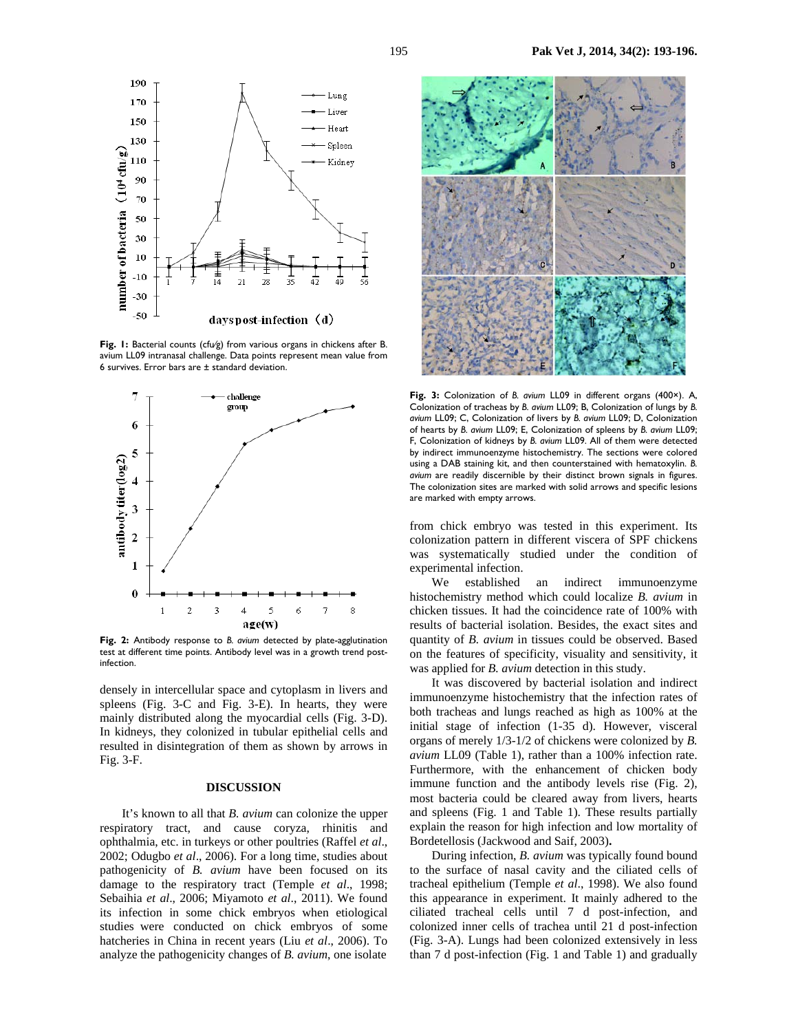

**Fig. 1:** Bacterial counts (cfu⁄g) from various organs in chickens after B. avium LL09 intranasal challenge. Data points represent mean value from 6 survives. Error bars are ± standard deviation.



**Fig. 2:** Antibody response to *B. avium* detected by plate-agglutination test at different time points. Antibody level was in a growth trend postinfection.

densely in intercellular space and cytoplasm in livers and spleens (Fig. 3-C and Fig. 3-E). In hearts, they were mainly distributed along the myocardial cells (Fig. 3-D). In kidneys, they colonized in tubular epithelial cells and resulted in disintegration of them as shown by arrows in Fig. 3-F.

#### **DISCUSSION**

It's known to all that *B. avium* can colonize the upper respiratory tract, and cause coryza, rhinitis and ophthalmia, etc. in turkeys or other poultries (Raffel *et al*., 2002; Odugbo *et al*., 2006). For a long time, studies about pathogenicity of *B. avium* have been focused on its damage to the respiratory tract (Temple *et al*., 1998; Sebaihia *et al*., 2006; Miyamoto *et al*., 2011). We found its infection in some chick embryos when etiological studies were conducted on chick embryos of some hatcheries in China in recent years (Liu *et al*., 2006). To analyze the pathogenicity changes of *B. avium*, one isolate



**Fig. 3:** Colonization of *B. avium* LL09 in different organs (400×). A, Colonization of tracheas by *B. avium* LL09; B, Colonization of lungs by *B. avium* LL09; C, Colonization of livers by *B. avium* LL09; D, Colonization of hearts by *B. avium* LL09; E, Colonization of spleens by *B. avium* LL09; F, Colonization of kidneys by *B. avium* LL09. All of them were detected by indirect immunoenzyme histochemistry. The sections were colored using a DAB staining kit, and then counterstained with hematoxylin. *B. avium* are readily discernible by their distinct brown signals in figures. The colonization sites are marked with solid arrows and specific lesions are marked with empty arrows.

from chick embryo was tested in this experiment. Its colonization pattern in different viscera of SPF chickens was systematically studied under the condition of experimental infection.

We established an indirect immunoenzyme histochemistry method which could localize *B. avium* in chicken tissues. It had the coincidence rate of 100% with results of bacterial isolation. Besides, the exact sites and quantity of *B. avium* in tissues could be observed. Based on the features of specificity, visuality and sensitivity, it was applied for *B. avium* detection in this study.

It was discovered by bacterial isolation and indirect immunoenzyme histochemistry that the infection rates of both tracheas and lungs reached as high as 100% at the initial stage of infection (1-35 d). However, visceral organs of merely 1/3-1/2 of chickens were colonized by *B. avium* LL09 (Table 1), rather than a 100% infection rate. Furthermore, with the enhancement of chicken body immune function and the antibody levels rise (Fig. 2), most bacteria could be cleared away from livers, hearts and spleens (Fig. 1 and Table 1). These results partially explain the reason for high infection and low mortality of Bordetellosis (Jackwood and Saif, 2003)**.**

During infection, *B. avium* was typically found bound to the surface of nasal cavity and the ciliated cells of tracheal epithelium (Temple *et al*., 1998). We also found this appearance in experiment. It mainly adhered to the ciliated tracheal cells until 7 d post-infection, and colonized inner cells of trachea until 21 d post-infection (Fig. 3-A). Lungs had been colonized extensively in less than 7 d post-infection (Fig. 1 and Table 1) and gradually